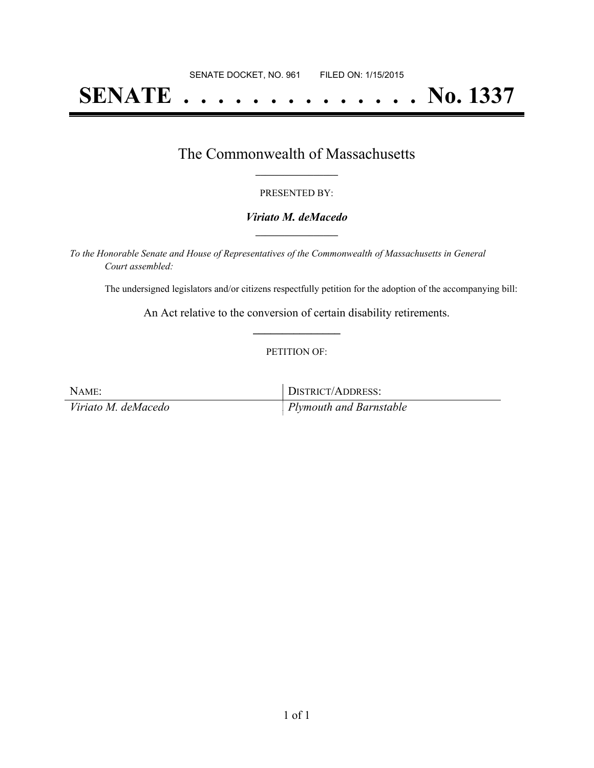# **SENATE . . . . . . . . . . . . . . No. 1337**

### The Commonwealth of Massachusetts **\_\_\_\_\_\_\_\_\_\_\_\_\_\_\_\_\_**

#### PRESENTED BY:

#### *Viriato M. deMacedo* **\_\_\_\_\_\_\_\_\_\_\_\_\_\_\_\_\_**

*To the Honorable Senate and House of Representatives of the Commonwealth of Massachusetts in General Court assembled:*

The undersigned legislators and/or citizens respectfully petition for the adoption of the accompanying bill:

An Act relative to the conversion of certain disability retirements. **\_\_\_\_\_\_\_\_\_\_\_\_\_\_\_**

#### PETITION OF:

| NAME:               | DISTRICT/ADDRESS:       |
|---------------------|-------------------------|
| Viriato M. deMacedo | Plymouth and Barnstable |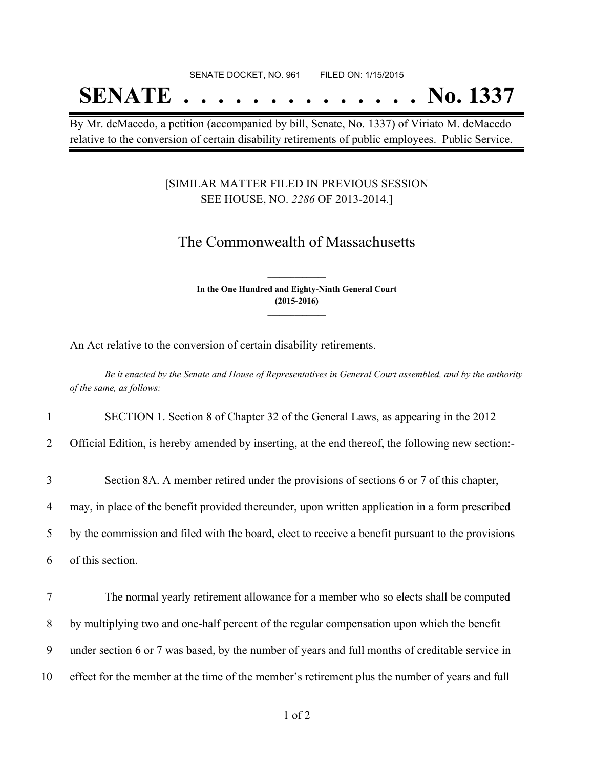## **SENATE . . . . . . . . . . . . . . No. 1337**

By Mr. deMacedo, a petition (accompanied by bill, Senate, No. 1337) of Viriato M. deMacedo relative to the conversion of certain disability retirements of public employees. Public Service.

#### [SIMILAR MATTER FILED IN PREVIOUS SESSION SEE HOUSE, NO. *2286* OF 2013-2014.]

## The Commonwealth of Massachusetts

**In the One Hundred and Eighty-Ninth General Court (2015-2016) \_\_\_\_\_\_\_\_\_\_\_\_\_\_\_**

**\_\_\_\_\_\_\_\_\_\_\_\_\_\_\_**

An Act relative to the conversion of certain disability retirements.

Be it enacted by the Senate and House of Representatives in General Court assembled, and by the authority *of the same, as follows:*

1 SECTION 1. Section 8 of Chapter 32 of the General Laws, as appearing in the 2012

2 Official Edition, is hereby amended by inserting, at the end thereof, the following new section:-

3 Section 8A. A member retired under the provisions of sections 6 or 7 of this chapter,

4 may, in place of the benefit provided thereunder, upon written application in a form prescribed

5 by the commission and filed with the board, elect to receive a benefit pursuant to the provisions

6 of this section.

 The normal yearly retirement allowance for a member who so elects shall be computed by multiplying two and one-half percent of the regular compensation upon which the benefit under section 6 or 7 was based, by the number of years and full months of creditable service in effect for the member at the time of the member's retirement plus the number of years and full